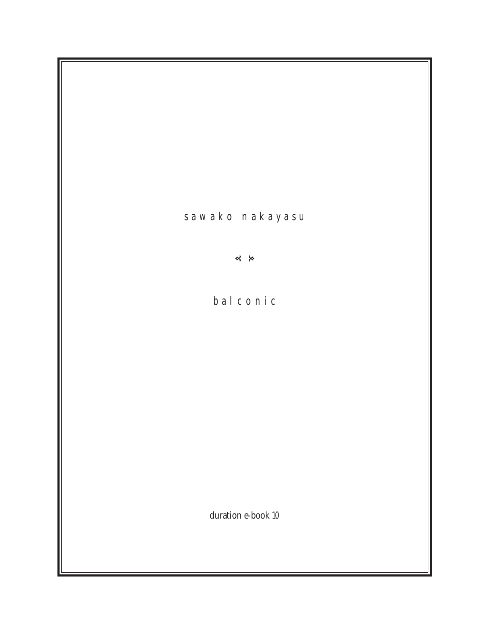s a w a k o n a k a y a s u

 $\frac{1}{2}$ 

b a l c o n i c

duration e-book 10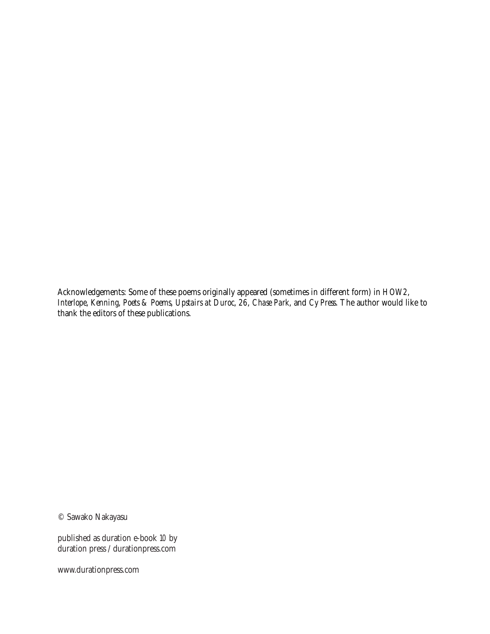Acknowledgements: Some of these poems originally appeared (sometimes in different form) in *HOW2*, *Interlope*, *Kenning*, *Poets & Poems*, *Upstairs at Duroc*, *26*, *Chase Park*, and *Cy Press*. The author would like to thank the editors of these publications.

© Sawako Nakayasu

published as duration e-book 10 by duration press / durationpress.com

www.durationpress.com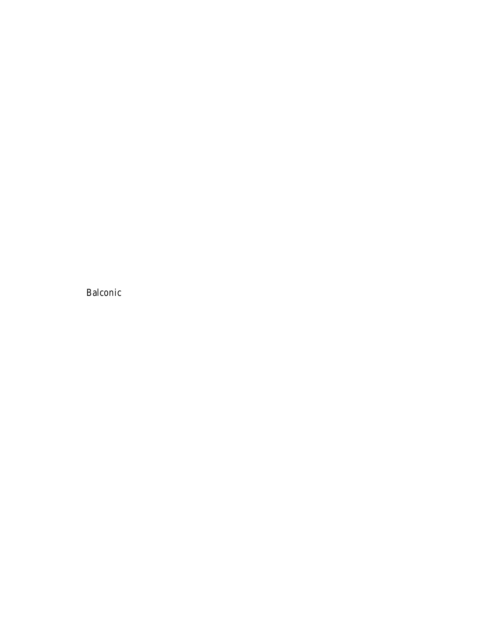Balconic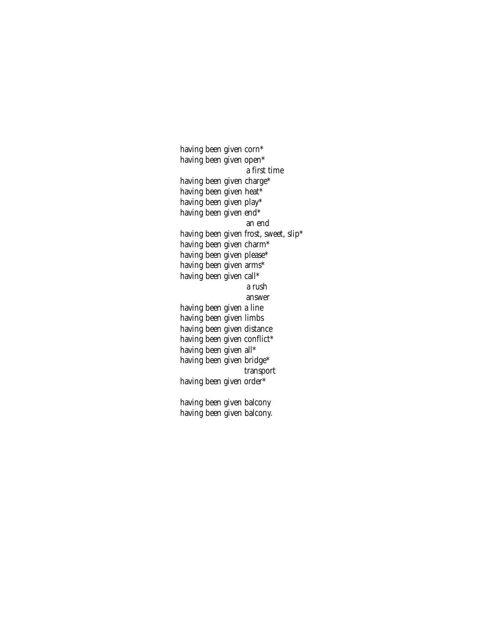having been given corn\* having been given open\* a first time having been given charge\* having been given heat\* having been given play\* having been given end\* an end having been given frost, sweet, slip\* having been given charm\* having been given please\* having been given arms\* having been given call\* a rush answer having been given a line having been given limbs having been given distance having been given conflict\* having been given all\* having been given bridge\* transport having been given order\* having been given balcony having been given balcony.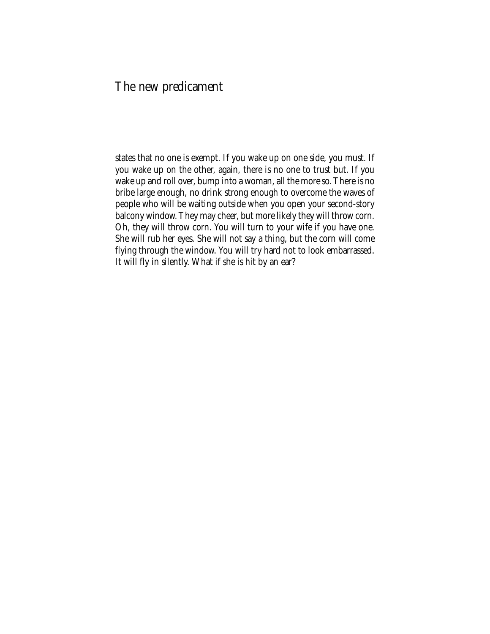#### The new predicament

states that no one is exempt. If you wake up on one side, you must. If you wake up on the other, again, there is no one to trust but. If you wake up and roll over, bump into a woman, all the more so. There is no bribe large enough, no drink strong enough to overcome the waves of people who will be waiting outside when you open your second-story balcony window. They may cheer, but more likely they will throw corn. Oh, they will throw corn. You will turn to your wife if you have one. She will rub her eyes. She will not say a thing, but the corn will come flying through the window. You will try hard not to look embarrassed. It will fly in silently. What if she is hit by an ear?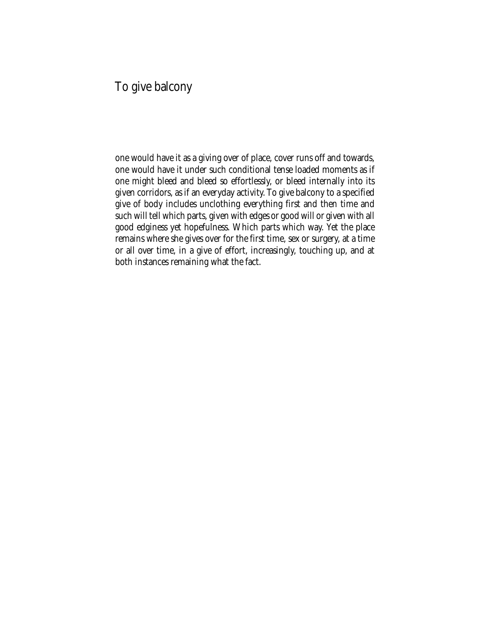### To give balcony

one would have it as a giving over of place, cover runs off and towards, one would have it under such conditional tense loaded moments as if one might bleed and bleed so effortlessly, or bleed internally into its given corridors, as if an everyday activity. To give balcony to a specified give of body includes unclothing everything first and then time and such will tell which parts, given with edges or good will or given with all good edginess yet hopefulness. Which parts which way. Yet the place remains where she gives over for the first time, sex or surgery, at a time or all over time, in a give of effort, increasingly, touching up, and at both instances remaining what the fact.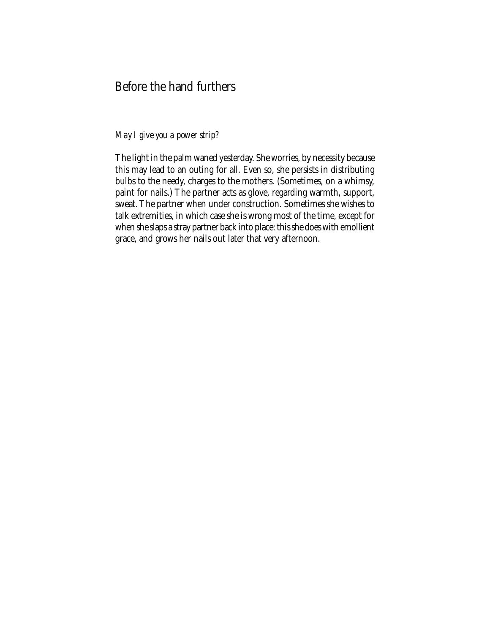## Before the hand furthers

#### *May I give you a power strip?*

The light in the palm waned yesterday. She worries, by necessity because this may lead to an outing for all. Even so, she persists in distributing bulbs to the needy, charges to the mothers. (Sometimes, on a whimsy, paint for nails.) The partner acts as glove, regarding warmth, support, sweat. The partner when under construction. Sometimes she wishes to talk extremities, in which case she is wrong most of the time, except for when she slaps a stray partner back into place: this she does with emollient grace, and grows her nails out later that very afternoon.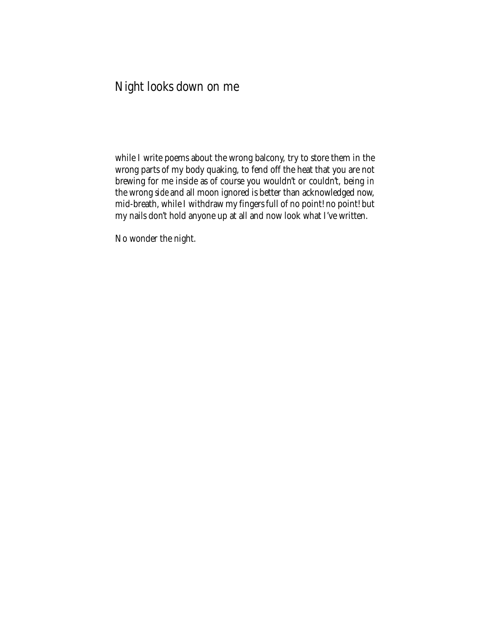## Night looks down on me

while I write poems about the wrong balcony, try to store them in the wrong parts of my body quaking, to fend off the heat that you are not brewing for me inside as of course you wouldn't or couldn't, being *in* the wrong *side* and all moon ignored is better than acknowledged now, mid-breath, while I withdraw my fingers full of no point! no point! but my nails don't hold anyone up at all and now look what I've written.

No wonder the night.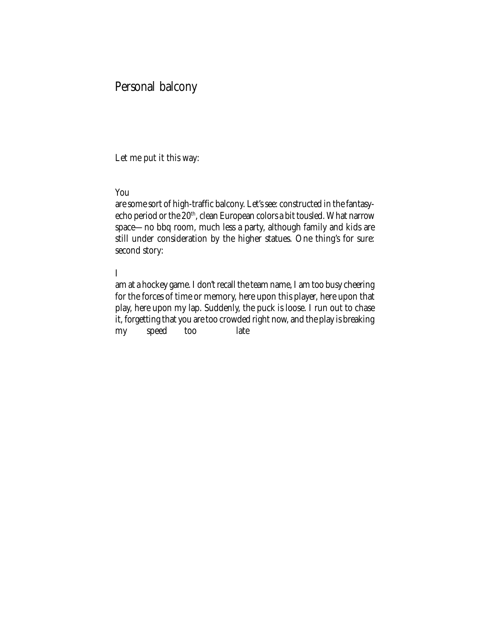#### Personal balcony

Let me put it this way:

#### You

are some sort of high-traffic balcony. Let's see: constructed in the fantasyecho period or the 20<sup>th</sup>, clean European colors a bit tousled. What narrow space—no bbq room, much less a party, although family and kids are still under consideration by the higher statues. One thing's for sure: second story:

#### I

am at a hockey game. I don't recall the team name, I am too busy cheering for the forces of time or memory, here upon this player, here upon that play, here upon my lap. Suddenly, the puck is loose. I run out to chase it, forgetting that you are too crowded right now, and the play is breaking my speed too late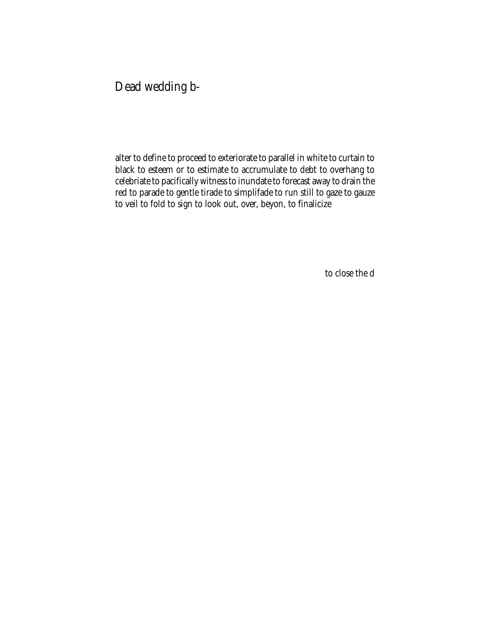Dead wedding b-

alter to define to proceed to exteriorate to parallel in white to curtain to black to esteem or to estimate to accrumulate to debt to overhang to celebriate to pacifically witness to inundate to forecast away to drain the red to parade to gentle tirade to simplifade to run still to gaze to gauze to veil to fold to sign to look out, over, beyon, to finalicize

to close the d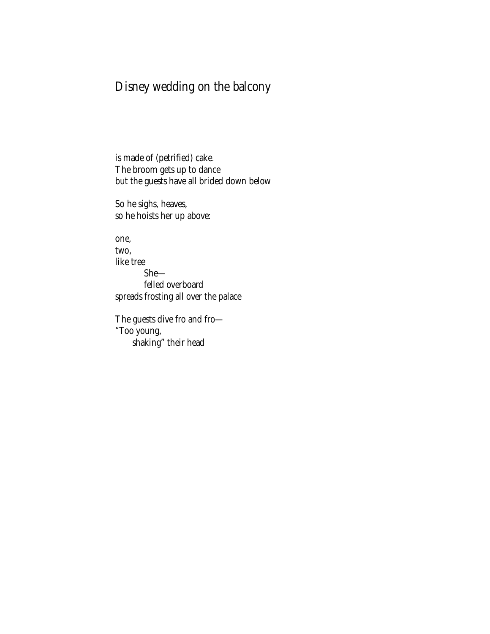## Disney wedding on the balcony

is made of (petrified) cake. The broom gets up to dance but the guests have all brided down below

So he sighs, heaves, so he hoists her up above:

one, two, like tree She felled overboard spreads frosting all over the palace

The guests dive fro and fro— "Too young, shaking" their head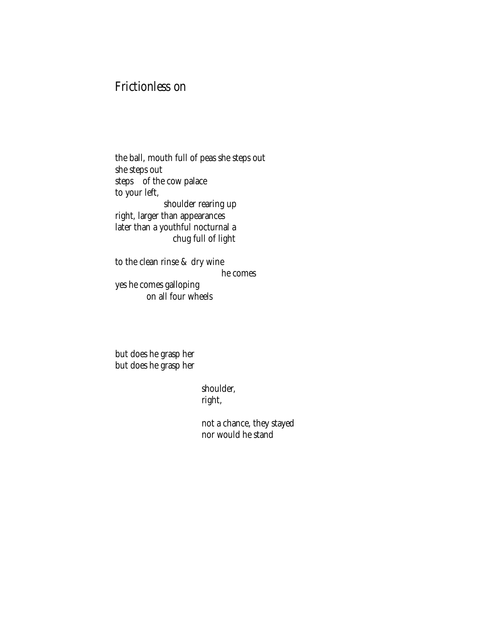### Frictionless on

the ball, mouth full of peas she steps out she steps out steps of the cow palace to your left, shoulder rearing up right, larger than appearances later than a youthful nocturnal a chug full of light

to the clean rinse & dry wine he comes yes he comes galloping on all four wheels

but does he grasp her but does he grasp her

> shoulder, right,

not a chance, they stayed nor would he stand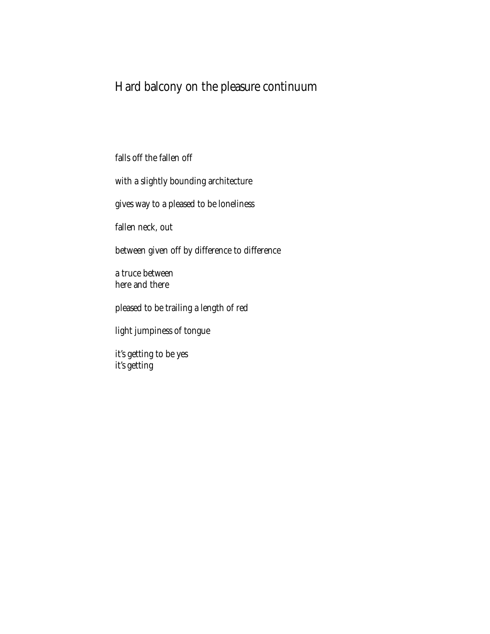## Hard balcony on the pleasure continuum

falls off the fallen off

with a slightly bounding architecture

gives way to a pleased to be loneliness

fallen neck, out

between given off by difference to difference

a truce between here and there

pleased to be trailing a length of red

light jumpiness of tongue

it's getting to be yes it's getting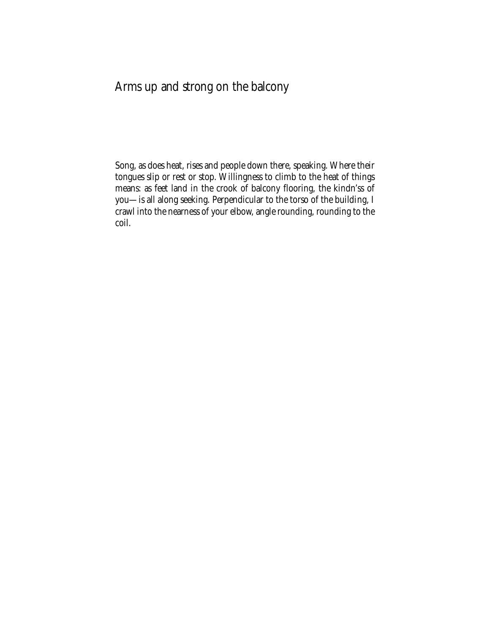## Arms up and strong on the balcony

Song, as does heat, rises and people down there, speaking. Where their tongues slip or rest or stop. Willingness to climb to the heat of things means: as feet land in the crook of balcony flooring, the kindn'ss of you—is all along seeking. Perpendicular to the torso of the building, I crawl into the nearness of your elbow, angle rounding, rounding to the coil.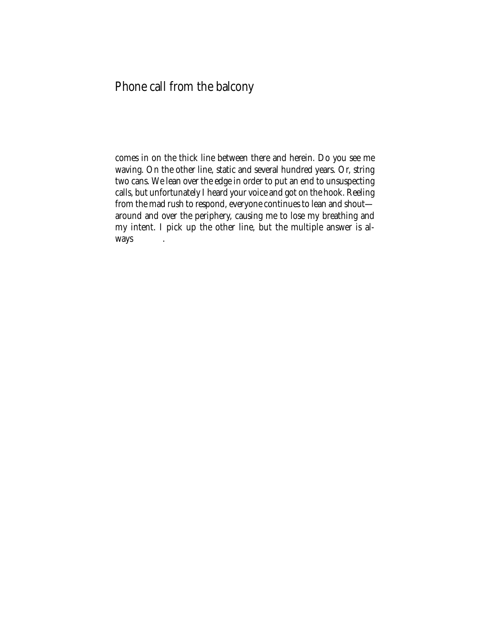## Phone call from the balcony

comes in on the thick line between there and herein. Do you see me waving. On the other line, static and several hundred years. Or, string two cans. We lean over the edge in order to put an end to unsuspecting calls, but unfortunately I heard your voice and got on the hook. Reeling from the mad rush to respond, everyone continues to lean and shout around and over the periphery, causing me to lose my breathing and my intent. I pick up the other line, but the multiple answer is always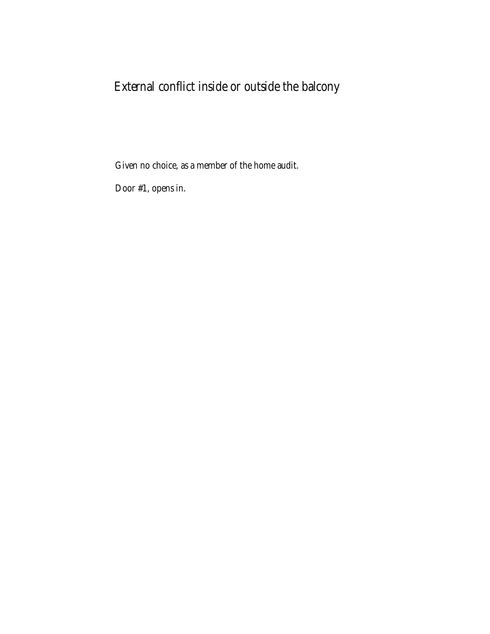# External conflict inside or outside the balcony

Given no choice, as a member of the home audit.

Door #1, opens in.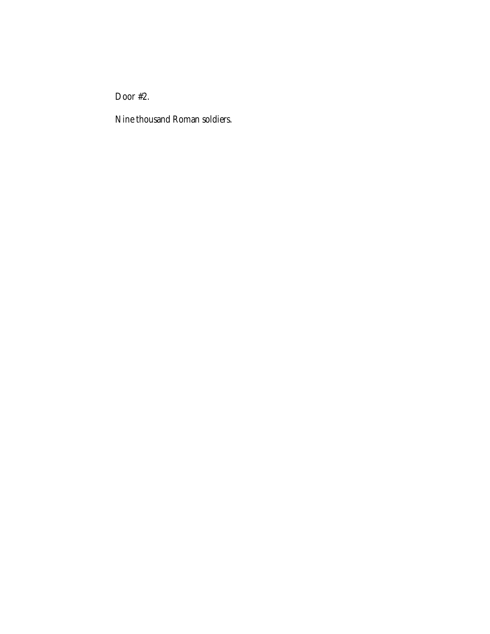Door #2.

Nine thousand Roman soldiers.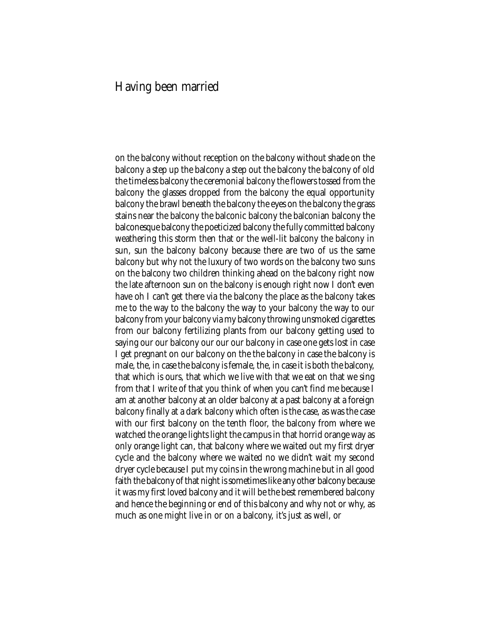#### Having been married

on the balcony without reception on the balcony without shade on the balcony a step up the balcony a step out the balcony the balcony of old the timeless balcony the ceremonial balcony the flowers tossed from the balcony the glasses dropped from the balcony the equal opportunity balcony the brawl beneath the balcony the eyes on the balcony the grass stains near the balcony the balconic balcony the balconian balcony the balconesque balcony the poeticized balcony the fully committed balcony weathering this storm then that or the well-lit balcony the balcony in sun, sun the balcony balcony because there are two of us the same balcony but why not the luxury of two words on the balcony two suns on the balcony two children thinking ahead on the balcony right now the late afternoon sun on the balcony is enough right now I don't even have oh I can't get there via the balcony the place as the balcony takes me to the way to the balcony the way to your balcony the way to our balcony from your balcony via my balcony throwing unsmoked cigarettes from our balcony fertilizing plants from our balcony getting used to saying our our balcony our our our balcony in case one gets lost in case I get pregnant on our balcony on the the balcony in case the balcony is male, the, in case the balcony is female, the, in case it is both the balcony, that which is ours, that which we live with that we eat on that we sing from that I write of that you think of when you can't find me because I am at another balcony at an older balcony at a past balcony at a foreign balcony finally at a dark balcony which often is the case, as was the case with our first balcony on the tenth floor, the balcony from where we watched the orange lights light the campus in that horrid orange way as only orange light can, that balcony where we waited out my first dryer cycle and the balcony where we waited no we didn't wait my second dryer cycle because I put my coins in the wrong machine but in all good faith the balcony of that night is sometimes like any other balcony because it was my first loved balcony and it will be the best remembered balcony and hence the beginning or end of this balcony and why not or why, as much as one might live in or on a balcony, it's just as well, or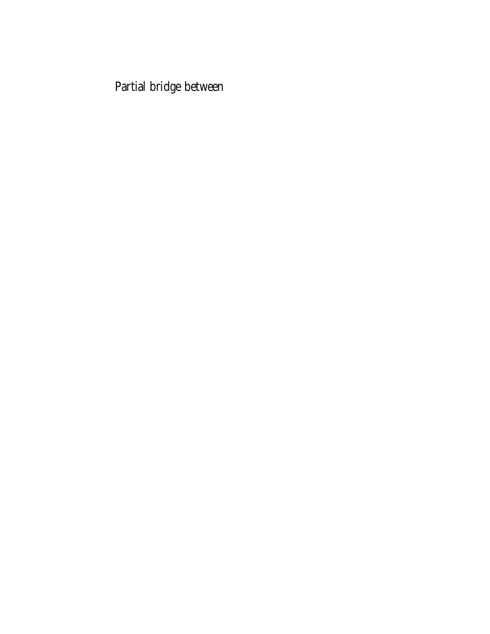Partial bridge between